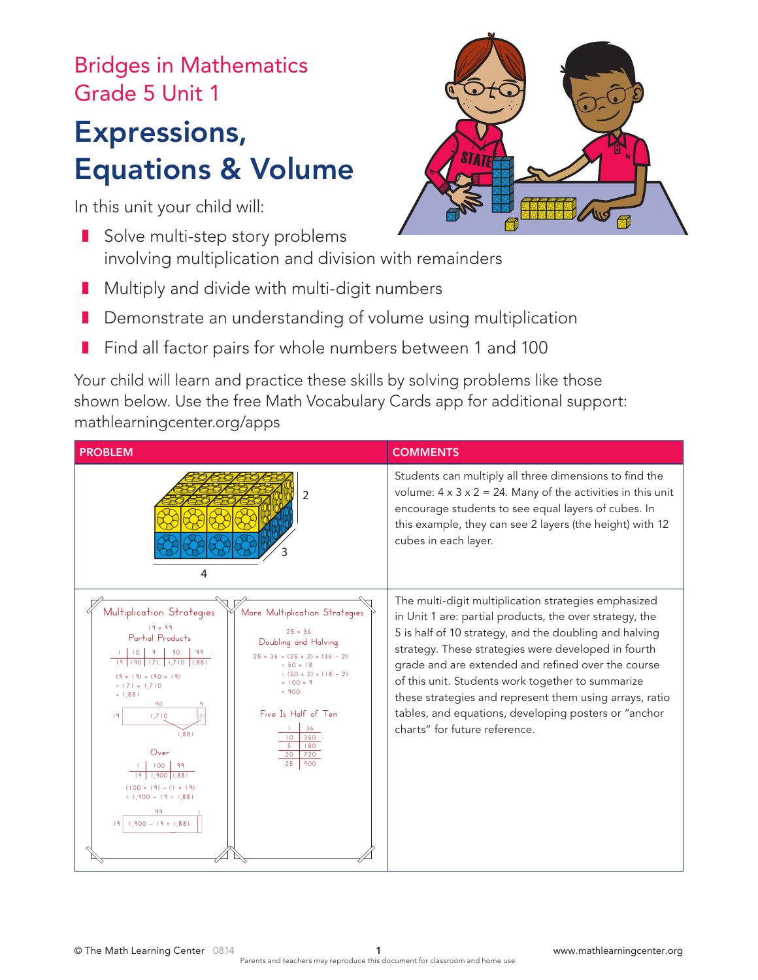## Bridges in Mathematics Grade 5 Unit 1

## Expressions, Equations & Volume

In this unit your child will:

- Solve multi-step story problems involving multiplication and division with remainders
- Multiply and divide with multi-digit numbers
- Demonstrate an understanding of volume using multiplication
- Find all factor pairs for whole numbers between 1 and 100

Your child will learn and practice these skills by solving problems like those shown below. Use the free Math Vocabulary Cards app for additional support: mathlearningcenter.org/apps

| <b>PROBLEM</b>                                                                                                                                                                                                                                                                                                                                                                                                                                                                                                                                                    | <b>COMMENTS</b>                                                                                                                                                                                                                                                                                                                                                                                                                                                                                 |
|-------------------------------------------------------------------------------------------------------------------------------------------------------------------------------------------------------------------------------------------------------------------------------------------------------------------------------------------------------------------------------------------------------------------------------------------------------------------------------------------------------------------------------------------------------------------|-------------------------------------------------------------------------------------------------------------------------------------------------------------------------------------------------------------------------------------------------------------------------------------------------------------------------------------------------------------------------------------------------------------------------------------------------------------------------------------------------|
| 2<br>4                                                                                                                                                                                                                                                                                                                                                                                                                                                                                                                                                            | Students can multiply all three dimensions to find the<br>volume: $4 \times 3 \times 2 = 24$ . Many of the activities in this unit<br>encourage students to see equal layers of cubes. In<br>this example, they can see 2 layers (the height) with 12<br>cubes in each layer.                                                                                                                                                                                                                   |
| Multiplication Strategies<br>More Multiplication Strategies<br>$19 \times 99$<br>$25 \times 36$<br>Partial Products<br>Doubling and Halving<br>$25 \times 36 = (25 \times 2) \times (36 \div 2)$<br>$= 50 \times 18$<br>$=(50 \times 2) \times (18 \div 2)$<br>$19 + (90 \times 19)$<br>$= 100 \times 9$<br>$= 171 + 1.710$<br>$= 900$<br>$= 1,881$<br>90<br>Five Is Half of Ten<br>1,710<br>36<br>1.881<br>10<br>360<br>180<br>Over<br>20<br>720<br>25<br>900<br>$(100 \times 19) - (1 \times 19)$<br>$= 1,900 - 19 = 1,881$<br>99<br>$1,900 - 19 = 1,881$<br>19 | The multi-digit multiplication strategies emphasized<br>in Unit 1 are: partial products, the over strategy, the<br>5 is half of 10 strategy, and the doubling and halving<br>strategy. These strategies were developed in fourth<br>grade and are extended and refined over the course<br>of this unit. Students work together to summarize<br>these strategies and represent them using arrays, ratio<br>tables, and equations, developing posters or "anchor<br>charts" for future reference. |